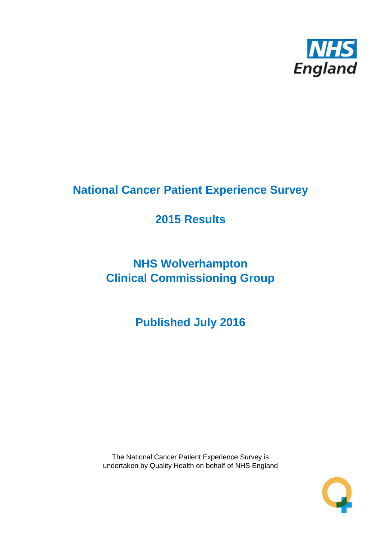

# **National Cancer Patient Experience Survey**

# **2015 Results**

# **NHS Wolverhampton Clinical Commissioning Group**

**Published July 2016**

The National Cancer Patient Experience Survey is undertaken by Quality Health on behalf of NHS England

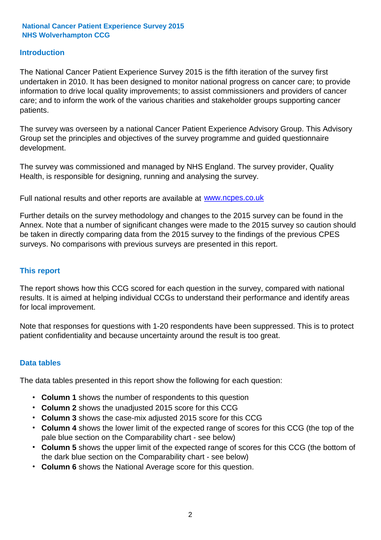#### **Introduction**

The National Cancer Patient Experience Survey 2015 is the fifth iteration of the survey first undertaken in 2010. It has been designed to monitor national progress on cancer care; to provide information to drive local quality improvements; to assist commissioners and providers of cancer care; and to inform the work of the various charities and stakeholder groups supporting cancer patients.

The survey was overseen by a national Cancer Patient Experience Advisory Group. This Advisory Group set the principles and objectives of the survey programme and guided questionnaire development.

The survey was commissioned and managed by NHS England. The survey provider, Quality Health, is responsible for designing, running and analysing the survey.

Full national results and other reports are available at www.ncpes.co.uk

Further details on the survey methodology and changes to the 2015 survey can be found in the Annex. Note that a number of significant changes were made to the 2015 survey so caution should be taken in directly comparing data from the 2015 survey to the findings of the previous CPES surveys. No comparisons with previous surveys are presented in this report.

#### **This report**

The report shows how this CCG scored for each question in the survey, compared with national results. It is aimed at helping individual CCGs to understand their performance and identify areas for local improvement.

Note that responses for questions with 1-20 respondents have been suppressed. This is to protect patient confidentiality and because uncertainty around the result is too great.

#### **Data tables**

The data tables presented in this report show the following for each question:

- **Column 1** shows the number of respondents to this question
- **Column 2** shows the unadjusted 2015 score for this CCG
- **Column 3** shows the case-mix adjusted 2015 score for this CCG
- **Column 4** shows the lower limit of the expected range of scores for this CCG (the top of the pale blue section on the Comparability chart - see below)
- **Column 5** shows the upper limit of the expected range of scores for this CCG (the bottom of the dark blue section on the Comparability chart - see below)
- **Column 6** shows the National Average score for this question.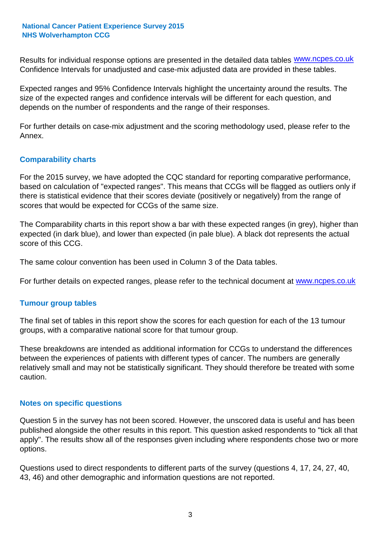Results for individual response options are presented in the detailed data tables **WWW.ncpes.co.uk** Confidence Intervals for unadjusted and case-mix adjusted data are provided in these tables.

Expected ranges and 95% Confidence Intervals highlight the uncertainty around the results. The size of the expected ranges and confidence intervals will be different for each question, and depends on the number of respondents and the range of their responses.

For further details on case-mix adjustment and the scoring methodology used, please refer to the Annex.

#### **Comparability charts**

For the 2015 survey, we have adopted the CQC standard for reporting comparative performance, based on calculation of "expected ranges". This means that CCGs will be flagged as outliers only if there is statistical evidence that their scores deviate (positively or negatively) from the range of scores that would be expected for CCGs of the same size.

The Comparability charts in this report show a bar with these expected ranges (in grey), higher than expected (in dark blue), and lower than expected (in pale blue). A black dot represents the actual score of this CCG.

The same colour convention has been used in Column 3 of the Data tables.

For further details on expected ranges, please refer to the technical document at **www.ncpes.co.uk** 

#### **Tumour group tables**

The final set of tables in this report show the scores for each question for each of the 13 tumour groups, with a comparative national score for that tumour group.

These breakdowns are intended as additional information for CCGs to understand the differences between the experiences of patients with different types of cancer. The numbers are generally relatively small and may not be statistically significant. They should therefore be treated with some caution.

#### **Notes on specific questions**

Question 5 in the survey has not been scored. However, the unscored data is useful and has been published alongside the other results in this report. This question asked respondents to "tick all that apply". The results show all of the responses given including where respondents chose two or more options.

Questions used to direct respondents to different parts of the survey (questions 4, 17, 24, 27, 40, 43, 46) and other demographic and information questions are not reported.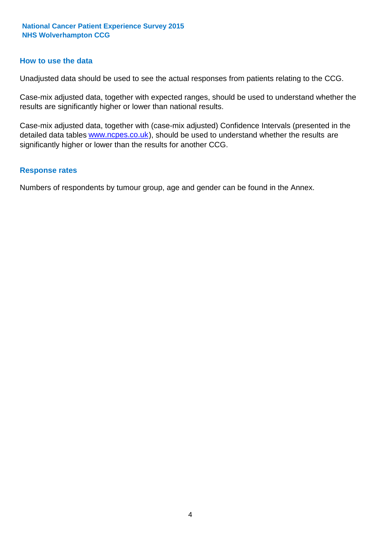#### **How to use the data**

Unadjusted data should be used to see the actual responses from patients relating to the CCG.

Case-mix adjusted data, together with expected ranges, should be used to understand whether the results are significantly higher or lower than national results.

Case-mix adjusted data, together with (case-mix adjusted) Confidence Intervals (presented in the detailed data tables **www.ncpes.co.uk**), should be used to understand whether the results are significantly higher or lower than the results for another CCG.

#### **Response rates**

Numbers of respondents by tumour group, age and gender can be found in the Annex.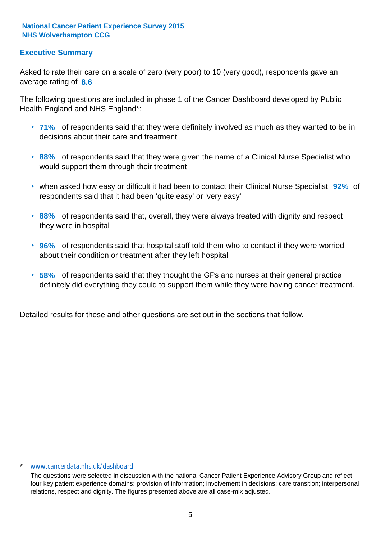#### **Executive Summary**

average rating of 8.6. Asked to rate their care on a scale of zero (very poor) to 10 (very good), respondents gave an

The following questions are included in phase 1 of the Cancer Dashboard developed by Public Health England and NHS England\*:

- **71%** of respondents said that they were definitely involved as much as they wanted to be in decisions about their care and treatment
- **88%** of respondents said that they were given the name of a Clinical Nurse Specialist who would support them through their treatment
- when asked how easy or difficult it had been to contact their Clinical Nurse Specialist 92% of respondents said that it had been 'quite easy' or 'very easy'
- **88%** of respondents said that, overall, they were always treated with dignity and respect they were in hospital
- **96%** of respondents said that hospital staff told them who to contact if they were worried about their condition or treatment after they left hospital
- **58%** of respondents said that they thought the GPs and nurses at their general practice definitely did everything they could to support them while they were having cancer treatment.

Detailed results for these and other questions are set out in the sections that follow.

#### \* www.cancerdata.nhs.uk/dashboard

The questions were selected in discussion with the national Cancer Patient Experience Advisory Group and reflect four key patient experience domains: provision of information; involvement in decisions; care transition; interpersonal relations, respect and dignity. The figures presented above are all case-mix adjusted.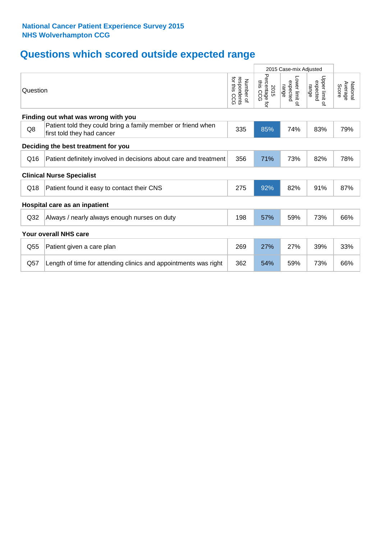## **Questions which scored outside expected range**

| Percentage for<br>Upper limit<br>Lower limit of<br>for this<br>respondents<br>Number of<br>this CCG<br>expected<br>expected<br>National<br>Average<br>range<br>range<br>Score<br>2015<br>Question<br>CCG<br>Q,<br>Finding out what was wrong with you<br>Patient told they could bring a family member or friend when<br>Q8<br>335<br>85%<br>74%<br>79%<br>83%<br>first told they had cancer<br>Deciding the best treatment for you<br>356<br>Q16<br>71%<br>73%<br>82%<br>78%<br>Patient definitely involved in decisions about care and treatment<br><b>Clinical Nurse Specialist</b><br>92%<br>82%<br>275<br>91%<br>87%<br>Q18<br>Patient found it easy to contact their CNS<br>Hospital care as an inpatient<br>57%<br>59%<br>73%<br>66%<br>Q <sub>32</sub><br>Always / nearly always enough nurses on duty<br>198<br><b>Your overall NHS care</b><br>Q <sub>55</sub><br>269<br>27%<br>27%<br>39%<br>33%<br>Patient given a care plan<br>362<br>54%<br>73%<br>Q57<br>59%<br>66%<br>Length of time for attending clinics and appointments was right |  | 2015 Case-mix Adjusted |  |  |  |
|-------------------------------------------------------------------------------------------------------------------------------------------------------------------------------------------------------------------------------------------------------------------------------------------------------------------------------------------------------------------------------------------------------------------------------------------------------------------------------------------------------------------------------------------------------------------------------------------------------------------------------------------------------------------------------------------------------------------------------------------------------------------------------------------------------------------------------------------------------------------------------------------------------------------------------------------------------------------------------------------------------------------------------------------------------|--|------------------------|--|--|--|
|                                                                                                                                                                                                                                                                                                                                                                                                                                                                                                                                                                                                                                                                                                                                                                                                                                                                                                                                                                                                                                                       |  |                        |  |  |  |
|                                                                                                                                                                                                                                                                                                                                                                                                                                                                                                                                                                                                                                                                                                                                                                                                                                                                                                                                                                                                                                                       |  |                        |  |  |  |
|                                                                                                                                                                                                                                                                                                                                                                                                                                                                                                                                                                                                                                                                                                                                                                                                                                                                                                                                                                                                                                                       |  |                        |  |  |  |
|                                                                                                                                                                                                                                                                                                                                                                                                                                                                                                                                                                                                                                                                                                                                                                                                                                                                                                                                                                                                                                                       |  |                        |  |  |  |
|                                                                                                                                                                                                                                                                                                                                                                                                                                                                                                                                                                                                                                                                                                                                                                                                                                                                                                                                                                                                                                                       |  |                        |  |  |  |
|                                                                                                                                                                                                                                                                                                                                                                                                                                                                                                                                                                                                                                                                                                                                                                                                                                                                                                                                                                                                                                                       |  |                        |  |  |  |
|                                                                                                                                                                                                                                                                                                                                                                                                                                                                                                                                                                                                                                                                                                                                                                                                                                                                                                                                                                                                                                                       |  |                        |  |  |  |
|                                                                                                                                                                                                                                                                                                                                                                                                                                                                                                                                                                                                                                                                                                                                                                                                                                                                                                                                                                                                                                                       |  |                        |  |  |  |
|                                                                                                                                                                                                                                                                                                                                                                                                                                                                                                                                                                                                                                                                                                                                                                                                                                                                                                                                                                                                                                                       |  |                        |  |  |  |
|                                                                                                                                                                                                                                                                                                                                                                                                                                                                                                                                                                                                                                                                                                                                                                                                                                                                                                                                                                                                                                                       |  |                        |  |  |  |
|                                                                                                                                                                                                                                                                                                                                                                                                                                                                                                                                                                                                                                                                                                                                                                                                                                                                                                                                                                                                                                                       |  |                        |  |  |  |
|                                                                                                                                                                                                                                                                                                                                                                                                                                                                                                                                                                                                                                                                                                                                                                                                                                                                                                                                                                                                                                                       |  |                        |  |  |  |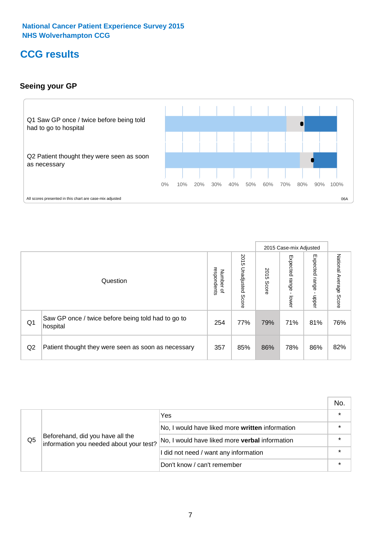### **CCG results**

#### **Seeing your GP**



|    |                                                                |                                                     |                             |               | 2015 Case-mix Adjusted     |                            |                           |
|----|----------------------------------------------------------------|-----------------------------------------------------|-----------------------------|---------------|----------------------------|----------------------------|---------------------------|
|    | Question                                                       | respondents<br><b>Number</b><br>$\overline{\sigma}$ | 2015<br>Unadjusted<br>Score | 2015<br>Score | Expected<br>range<br>lower | Expected<br>range<br>nbber | National Average<br>Score |
| Q1 | Saw GP once / twice before being told had to go to<br>hospital | 254                                                 | 77%                         | 79%           | 71%                        | 81%                        | 76%                       |
| Q2 | Patient thought they were seen as soon as necessary            | 357                                                 | 85%                         | 86%           | 78%                        | 86%                        | 82%                       |

|    |                                                                             |                                                 | No.     |
|----|-----------------------------------------------------------------------------|-------------------------------------------------|---------|
|    | Beforehand, did you have all the<br>information you needed about your test? | Yes                                             | $\star$ |
| Q5 |                                                                             | No, I would have liked more written information |         |
|    |                                                                             | No, I would have liked more verbal information  | $\star$ |
|    |                                                                             | I did not need / want any information           | $\star$ |
|    |                                                                             | Don't know / can't remember                     |         |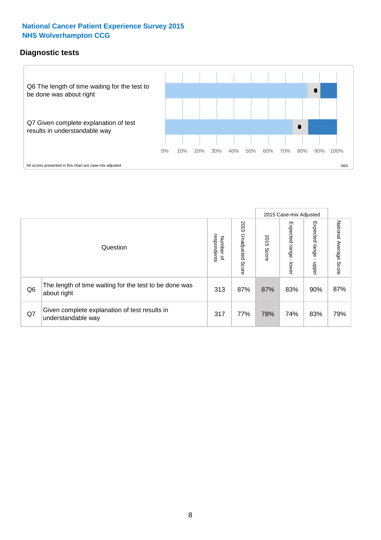#### **Diagnostic tests**



|                |                                                                       |                                   |                             |               | 2015 Case-mix Adjusted  |                         |                           |
|----------------|-----------------------------------------------------------------------|-----------------------------------|-----------------------------|---------------|-------------------------|-------------------------|---------------------------|
|                | Question                                                              | respondents<br>Number<br>$\Omega$ | 2015<br>Unadjusted<br>Score | 2015<br>Score | Expected range<br>lower | Expected range<br>nbber | National Average<br>Score |
| Q <sub>6</sub> | The length of time waiting for the test to be done was<br>about right | 313                               | 87%                         | 87%           | 83%                     | 90%                     | 87%                       |
| Q7             | Given complete explanation of test results in<br>understandable way   | 317                               | 77%                         | 78%           | 74%                     | 83%                     | 79%                       |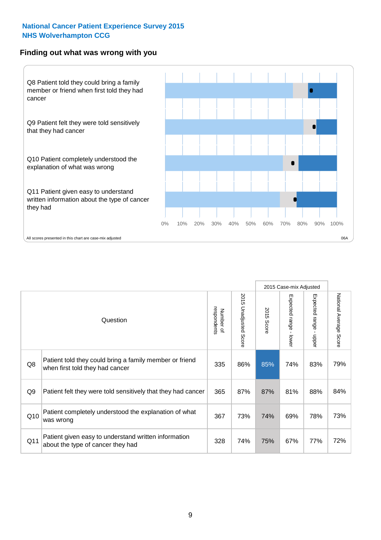#### **Finding out what was wrong with you**



|                |                                                                                            |                          |                                 |                      | 2015 Case-mix Adjusted                    |                                       |                        |
|----------------|--------------------------------------------------------------------------------------------|--------------------------|---------------------------------|----------------------|-------------------------------------------|---------------------------------------|------------------------|
|                | Question                                                                                   | respondents<br>Number of | 2015<br><b>Unadjusted Score</b> | 2015<br><b>Score</b> | Expected range<br>$\blacksquare$<br>lower | Expected range<br>$\mathbf{I}$<br>ddo | National Average Score |
| Q8             | Patient told they could bring a family member or friend<br>when first told they had cancer | 335                      | 86%                             | 85%                  | 74%                                       | 83%                                   | 79%                    |
| Q <sub>9</sub> | Patient felt they were told sensitively that they had cancer                               | 365                      | 87%                             | 87%                  | 81%                                       | 88%                                   | 84%                    |
| Q10            | Patient completely understood the explanation of what<br>was wrong                         | 367                      | 73%                             | 74%                  | 69%                                       | 78%                                   | 73%                    |
| Q11            | Patient given easy to understand written information<br>about the type of cancer they had  | 328                      | 74%                             | 75%                  | 67%                                       | 77%                                   | 72%                    |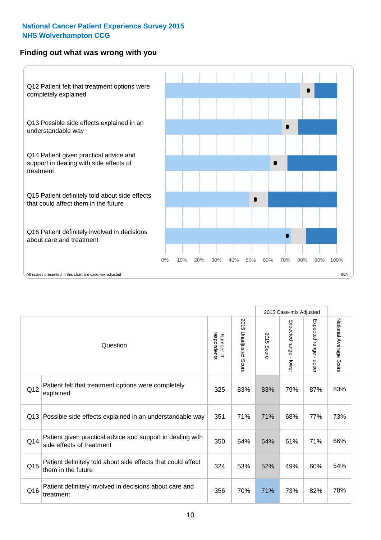#### **Finding out what was wrong with you**



|                 |                                                                                         |                          |                          |            | 2015 Case-mix Adjusted                  |                           |                        |
|-----------------|-----------------------------------------------------------------------------------------|--------------------------|--------------------------|------------|-----------------------------------------|---------------------------|------------------------|
| Question        |                                                                                         | respondents<br>Number of | 2015<br>Unadjusted Score | 2015 Score | Expected range<br>$\mathbf{r}$<br>lower | Expected range -<br>nbber | National Average Score |
| Q12             | Patient felt that treatment options were completely<br>explained                        | 325                      | 83%                      | 83%        | 79%                                     | 87%                       | 83%                    |
| Q13             | Possible side effects explained in an understandable way                                | 351                      | 71%                      | 71%        | 68%                                     | 77%                       | 73%                    |
| Q14             | Patient given practical advice and support in dealing with<br>side effects of treatment | 350                      | 64%                      | 64%        | 61%                                     | 71%                       | 66%                    |
| Q <sub>15</sub> | Patient definitely told about side effects that could affect<br>them in the future      | 324                      | 53%                      | 52%        | 49%                                     | 60%                       | 54%                    |
| Q16             | Patient definitely involved in decisions about care and<br>treatment                    | 356                      | 70%                      | 71%        | 73%                                     | 82%                       | 78%                    |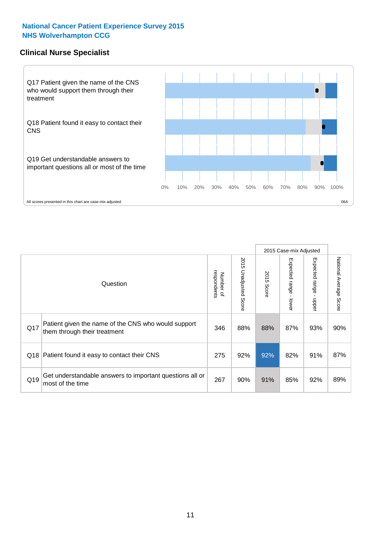#### **Clinical Nurse Specialist**



|     |                                                                                     |                          |                       | 2015 Case-mix Adjusted |                         |                         |                                  |
|-----|-------------------------------------------------------------------------------------|--------------------------|-----------------------|------------------------|-------------------------|-------------------------|----------------------------------|
|     | Question                                                                            | Number of<br>respondents | 2015 Unadjusted Score | 2015<br>Score          | Expected range<br>lower | Expected range<br>nbber | National Average<br><b>Score</b> |
| Q17 | Patient given the name of the CNS who would support<br>them through their treatment | 346                      | 88%                   | 88%                    | 87%                     | 93%                     | 90%                              |
| Q18 | Patient found it easy to contact their CNS                                          | 275                      | 92%                   | 92%                    | 82%                     | 91%                     | 87%                              |
| Q19 | Get understandable answers to important questions all or<br>most of the time        | 267                      | 90%                   | 91%                    | 85%                     | 92%                     | 89%                              |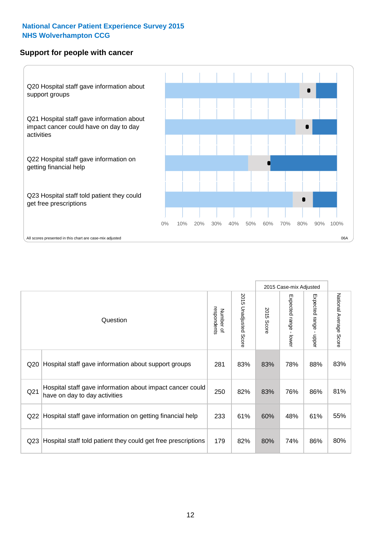#### **Support for people with cancer**



|                 |                                                                                            |                          |                             |               | 2015 Case-mix Adjusted                  |                                           |                        |
|-----------------|--------------------------------------------------------------------------------------------|--------------------------|-----------------------------|---------------|-----------------------------------------|-------------------------------------------|------------------------|
|                 | Question                                                                                   | respondents<br>Number of | 2015<br>Unadjusted<br>Score | 2015<br>Score | Expected range<br>$\mathbf{I}$<br>lower | Expected range<br>$\blacksquare$<br>nbber | National Average Score |
| Q20             | Hospital staff gave information about support groups                                       | 281                      | 83%                         | 83%           | 78%                                     | 88%                                       | 83%                    |
| Q <sub>21</sub> | Hospital staff gave information about impact cancer could<br>have on day to day activities | 250                      | 82%                         | 83%           | 76%                                     | 86%                                       | 81%                    |
| Q22             | Hospital staff gave information on getting financial help                                  | 233                      | 61%                         | 60%           | 48%                                     | 61%                                       | 55%                    |
| Q <sub>23</sub> | Hospital staff told patient they could get free prescriptions                              | 179                      | 82%                         | 80%           | 74%                                     | 86%                                       | 80%                    |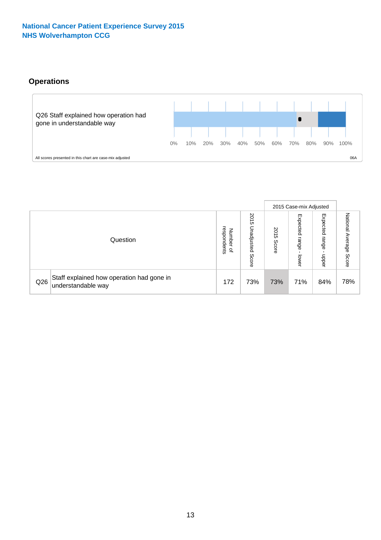### **Operations**



|     |                                                                 |                                              |                             |               | 2015 Case-mix Adjusted     |                           |                           |
|-----|-----------------------------------------------------------------|----------------------------------------------|-----------------------------|---------------|----------------------------|---------------------------|---------------------------|
|     | Question                                                        | respondents<br>Number<br>$\overline{\sigma}$ | 2015<br>Unadjusted<br>Score | 2015<br>Score | Expected<br>range<br>lower | Expected<br>range<br>ddoe | National Average<br>Score |
| Q26 | Staff explained how operation had gone in<br>understandable way | 172                                          | 73%                         | 73%           | 71%                        | 84%                       | 78%                       |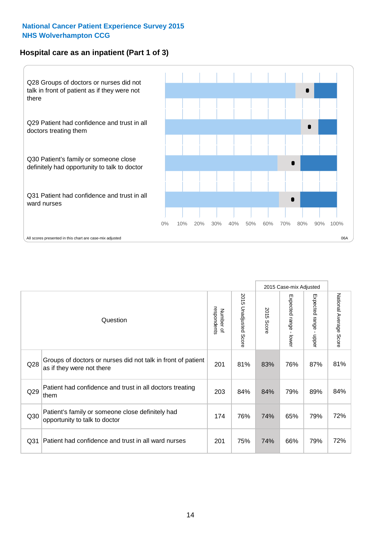#### **Hospital care as an inpatient (Part 1 of 3)**



All scores presented in this chart are case-mix adjusted  $06A$ 

|                 |                                                                                           |                          |                       |                      | 2015 Case-mix Adjusted                    |                                         |                        |
|-----------------|-------------------------------------------------------------------------------------------|--------------------------|-----------------------|----------------------|-------------------------------------------|-----------------------------------------|------------------------|
|                 | Question                                                                                  | respondents<br>Number of | 2015 Unadjusted Score | 2015<br><b>Score</b> | Expected range<br>$\blacksquare$<br>lower | Expected range<br>$\mathbf{I}$<br>nbber | National Average Score |
| Q28             | Groups of doctors or nurses did not talk in front of patient<br>as if they were not there | 201                      | 81%                   | 83%                  | 76%                                       | 87%                                     | 81%                    |
| Q29             | Patient had confidence and trust in all doctors treating<br>them                          | 203                      | 84%                   | 84%                  | 79%                                       | 89%                                     | 84%                    |
| Q30             | Patient's family or someone close definitely had<br>opportunity to talk to doctor         | 174                      | 76%                   | 74%                  | 65%                                       | 79%                                     | 72%                    |
| Q <sub>31</sub> | Patient had confidence and trust in all ward nurses                                       | 201                      | 75%                   | 74%                  | 66%                                       | 79%                                     | 72%                    |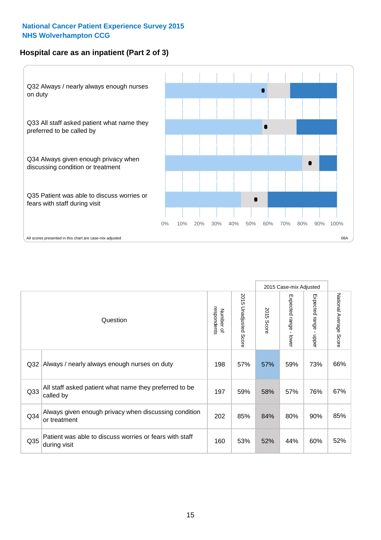#### **Hospital care as an inpatient (Part 2 of 3)**



|                 |                                                                         |                          |                                 |               | 2015 Case-mix Adjusted    |                                           |                        |
|-----------------|-------------------------------------------------------------------------|--------------------------|---------------------------------|---------------|---------------------------|-------------------------------------------|------------------------|
|                 | Question                                                                | respondents<br>Number of | 2015<br><b>Unadjusted Score</b> | 2015<br>Score | Expected range<br>- lower | Expected range<br>$\blacksquare$<br>nbber | National Average Score |
| Q32             | Always / nearly always enough nurses on duty                            | 198                      | 57%                             | 57%           | 59%                       | 73%                                       | 66%                    |
| Q <sub>33</sub> | All staff asked patient what name they preferred to be<br>called by     | 197                      | 59%                             | 58%           | 57%                       | 76%                                       | 67%                    |
| Q <sub>34</sub> | Always given enough privacy when discussing condition<br>or treatment   | 202                      | 85%                             | 84%           | 80%                       | 90%                                       | 85%                    |
| Q35             | Patient was able to discuss worries or fears with staff<br>during visit | 160                      | 53%                             | 52%           | 44%                       | 60%                                       | 52%                    |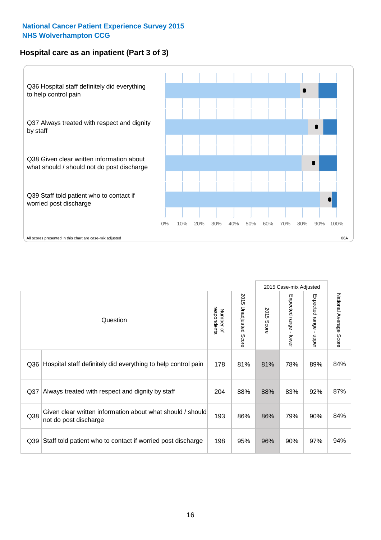#### **Hospital care as an inpatient (Part 3 of 3)**



|                 |                                                                                     |                          |                                 |               | 2015 Case-mix Adjusted  |                        |                        |
|-----------------|-------------------------------------------------------------------------------------|--------------------------|---------------------------------|---------------|-------------------------|------------------------|------------------------|
|                 | Question                                                                            | respondents<br>Number of | 2015<br><b>Unadjusted Score</b> | 2015<br>Score | Expected range<br>lower | Expected range - upper | National Average Score |
| Q36             | Hospital staff definitely did everything to help control pain                       | 178                      | 81%                             | 81%           | 78%                     | 89%                    | 84%                    |
| Q <sub>37</sub> | Always treated with respect and dignity by staff                                    | 204                      | 88%                             | 88%           | 83%                     | 92%                    | 87%                    |
| Q38             | Given clear written information about what should / should<br>not do post discharge | 193                      | 86%                             | 86%           | 79%                     | 90%                    | 84%                    |
| Q39             | Staff told patient who to contact if worried post discharge                         | 198                      | 95%                             | 96%           | 90%                     | 97%                    | 94%                    |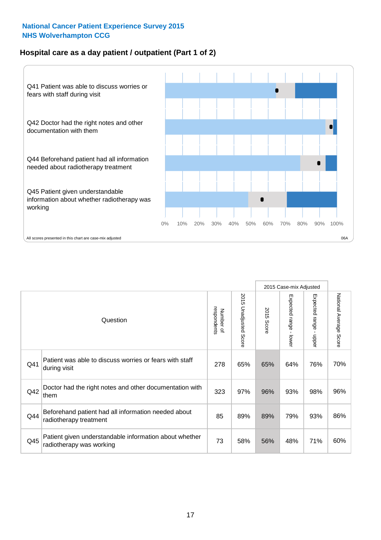#### **Hospital care as a day patient / outpatient (Part 1 of 2)**



|     |                                                                                    |                          |                                 |                      | 2015 Case-mix Adjusted                    |                                           |                        |
|-----|------------------------------------------------------------------------------------|--------------------------|---------------------------------|----------------------|-------------------------------------------|-------------------------------------------|------------------------|
|     | Question                                                                           | respondents<br>Number of | 2015<br><b>Unadjusted Score</b> | 2015<br><b>Score</b> | Expected range<br>$\blacksquare$<br>lower | Expected range<br>$\blacksquare$<br>nbber | National Average Score |
| Q41 | Patient was able to discuss worries or fears with staff<br>during visit            | 278                      | 65%                             | 65%                  | 64%                                       | 76%                                       | 70%                    |
| Q42 | Doctor had the right notes and other documentation with<br>them                    | 323                      | 97%                             | 96%                  | 93%                                       | 98%                                       | 96%                    |
| Q44 | Beforehand patient had all information needed about<br>radiotherapy treatment      | 85                       | 89%                             | 89%                  | 79%                                       | 93%                                       | 86%                    |
| Q45 | Patient given understandable information about whether<br>radiotherapy was working | 73                       | 58%                             | 56%                  | 48%                                       | 71%                                       | 60%                    |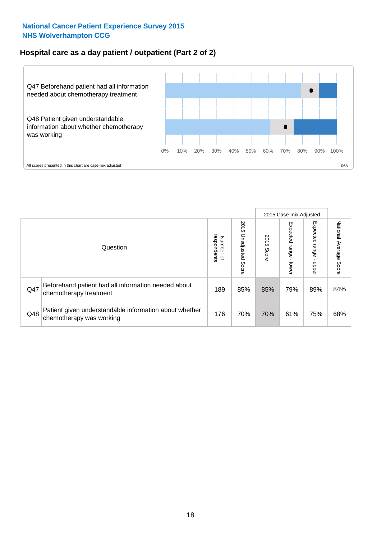#### **Hospital care as a day patient / outpatient (Part 2 of 2)**



|     |                                                                                    |                                       |                             |               | 2015 Case-mix Adjusted      |                         |                           |
|-----|------------------------------------------------------------------------------------|---------------------------------------|-----------------------------|---------------|-----------------------------|-------------------------|---------------------------|
|     | Question                                                                           | respondents<br>Number<br>$\mathbf{Q}$ | 2015<br>Unadjusted<br>Score | 2015<br>Score | Expected<br>Irange<br>lower | Expected range<br>doper | National Average<br>Score |
| Q47 | Beforehand patient had all information needed about<br>chemotherapy treatment      | 189                                   | 85%                         | 85%           | 79%                         | 89%                     | 84%                       |
| Q48 | Patient given understandable information about whether<br>chemotherapy was working | 176                                   | 70%                         | 70%           | 61%                         | 75%                     | 68%                       |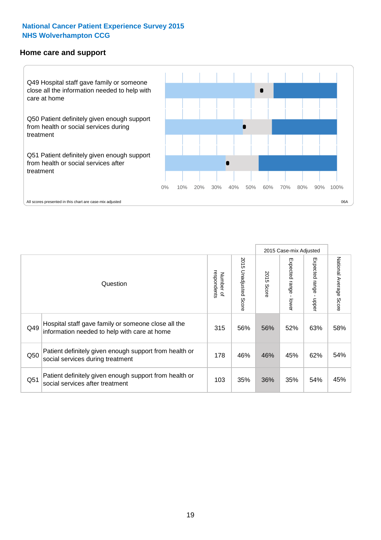#### **Home care and support**



2015 Case-mix Adjusted 2015 Unadjusted Score Expected range - upper National Average Score 2015 Unadjusted Score Expected range - lower National Average Score Expected range - lower Expected range - upper Number of<br>respondents respondents 2015 Score 2015 Score Number of Question Hospital staff gave family or someone close all the  $Q49$  information needed to help with care at home  $315 \begin{array}{|l} 315 & 56\% & 56\% & 52\% & 63\% \end{array}$ Patient definitely given enough support from health or Q50 social services during treatment 178 | 46% 46% 45% 62% 54% Patient definitely given enough support from health or Q51 social services after treatment 103 | 35% 36% 35% 35% 54% 45%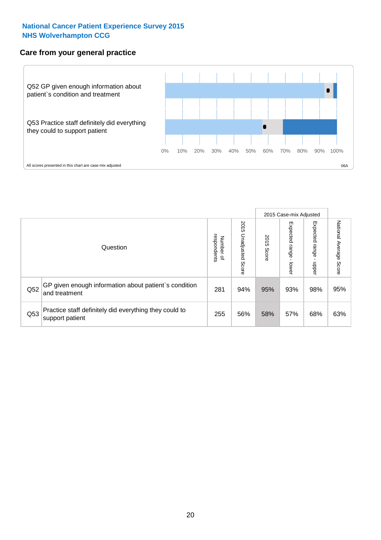#### **Care from your general practice**



|     |                                                                           |                                       |                             |               |                                   | 2015 Case-mix Adjusted     |                           |
|-----|---------------------------------------------------------------------------|---------------------------------------|-----------------------------|---------------|-----------------------------------|----------------------------|---------------------------|
|     | Question                                                                  | respondents<br>Number<br>$\mathbf{Q}$ | 2015<br>Unadjusted<br>Score | 2015<br>Score | Expected<br><b>Lange</b><br>lower | Expected<br>range<br>doper | National Average<br>Score |
| Q52 | GP given enough information about patient's condition<br>and treatment    | 281                                   | 94%                         | 95%           | 93%                               | 98%                        | 95%                       |
| Q53 | Practice staff definitely did everything they could to<br>support patient | 255                                   | 56%                         | 58%           | 57%                               | 68%                        | 63%                       |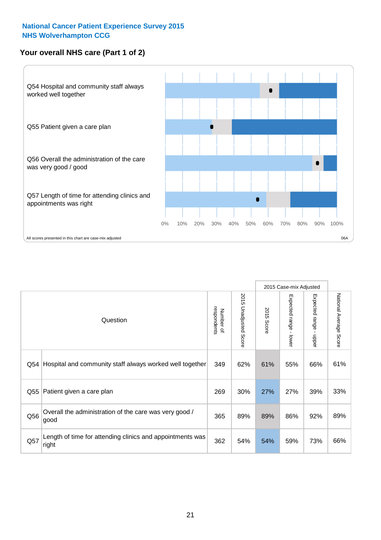#### **Your overall NHS care (Part 1 of 2)**



|     |                                                                    |                          |                          |               | 2015 Case-mix Adjusted                    |                                           |                        |
|-----|--------------------------------------------------------------------|--------------------------|--------------------------|---------------|-------------------------------------------|-------------------------------------------|------------------------|
|     | Question                                                           | respondents<br>Number of | 2015<br>Unadjusted Score | 2015<br>Score | Expected range<br>$\blacksquare$<br>lower | Expected range<br>$\blacksquare$<br>nbber | National Average Score |
| Q54 | Hospital and community staff always worked well together           | 349                      | 62%                      | 61%           | 55%                                       | 66%                                       | 61%                    |
| Q55 | Patient given a care plan                                          | 269                      | 30%                      | 27%           | 27%                                       | 39%                                       | 33%                    |
| Q56 | Overall the administration of the care was very good /<br>good     | 365                      | 89%                      | 89%           | 86%                                       | 92%                                       | 89%                    |
| Q57 | Length of time for attending clinics and appointments was<br>right | 362                      | 54%                      | 54%           | 59%                                       | 73%                                       | 66%                    |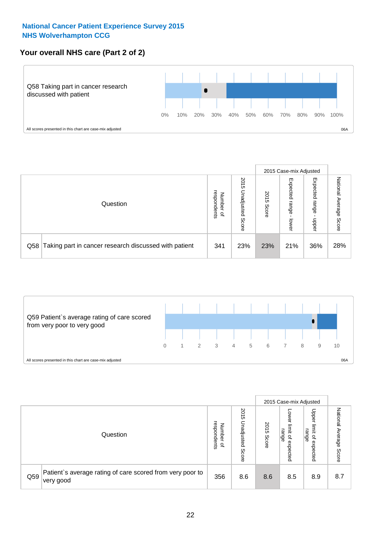#### **Your overall NHS care (Part 2 of 2)**



|     |                                                       |                                   |                             |               |                            | 2015 Case-mix Adjusted     |                        |
|-----|-------------------------------------------------------|-----------------------------------|-----------------------------|---------------|----------------------------|----------------------------|------------------------|
|     | Question                                              | respondents<br>Number<br>$\Omega$ | 2015<br>Unadjusted<br>Score | 2015<br>Score | Expected<br>range<br>lower | Expected<br>range<br>nbber | National Average Score |
| Q58 | Taking part in cancer research discussed with patient | 341                               | 23%                         | 23%           | 21%                        | 36%                        | 28%                    |



|     |                                                                        |                                   |                             |               |                                                           | 2015 Case-mix Adjusted                                |                              |
|-----|------------------------------------------------------------------------|-----------------------------------|-----------------------------|---------------|-----------------------------------------------------------|-------------------------------------------------------|------------------------------|
|     | Question                                                               | respondents<br>Number<br>$\Omega$ | 2015<br>Jnadjusted<br>Score | 2015<br>Score | OWer<br>limit<br>range<br>$\overline{\sigma}$<br>expected | Upper<br>limit<br>range<br>$\overline{a}$<br>expected | National<br>Average<br>Score |
| Q59 | Patient's average rating of care scored from very poor to<br>very good | 356                               | 8.6                         | 8.6           | 8.5                                                       | 8.9                                                   | 8.7                          |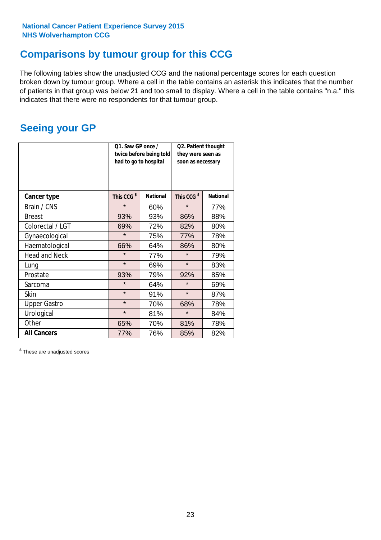### **Comparisons by tumour group for this CCG**

The following tables show the unadjusted CCG and the national percentage scores for each question broken down by tumour group. Where a cell in the table contains an asterisk this indicates that the number of patients in that group was below 21 and too small to display. Where a cell in the table contains "n.a." this indicates that there were no respondents for that tumour group.

### **Seeing your GP**

|                      | Q1. Saw GP once /<br>had to go to hospital | twice before being told | Q2. Patient thought<br>they were seen as<br>soon as necessary |                 |  |
|----------------------|--------------------------------------------|-------------------------|---------------------------------------------------------------|-----------------|--|
| <b>Cancer type</b>   | This CCG <sup>\$</sup>                     | <b>National</b>         | This CCG <sup>\$</sup>                                        | <b>National</b> |  |
| Brain / CNS          | $\star$                                    | 60%                     | $\star$                                                       | 77%             |  |
| <b>Breast</b>        | 93%                                        | 93%                     | 86%                                                           | 88%             |  |
| Colorectal / LGT     | 69%                                        | 72%                     | 82%                                                           | 80%             |  |
| Gynaecological       | $\star$                                    | 75%                     | 77%                                                           | 78%             |  |
| Haematological       | 66%                                        | 64%                     | 86%                                                           | 80%             |  |
| <b>Head and Neck</b> | $\star$                                    | 77%                     | $\star$                                                       | 79%             |  |
| Lung                 | $\star$                                    | 69%                     | $\star$                                                       | 83%             |  |
| Prostate             | 93%                                        | 79%                     | 92%                                                           | 85%             |  |
| Sarcoma              | $\star$                                    | 64%                     | $\star$                                                       | 69%             |  |
| <b>Skin</b>          | $\star$                                    | 91%                     | $\star$                                                       | 87%             |  |
| <b>Upper Gastro</b>  | $\star$                                    | 70%                     | 68%                                                           | 78%             |  |
| Urological           | $\star$                                    | 81%                     | $\star$                                                       | 84%             |  |
| Other                | 65%                                        | 70%                     | 81%                                                           | 78%             |  |
| <b>All Cancers</b>   | 77%                                        | 76%                     | 85%                                                           | 82%             |  |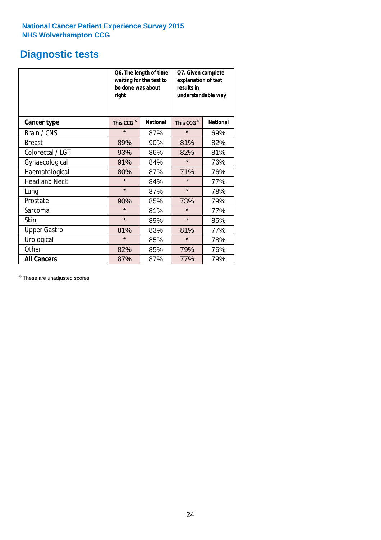### **Diagnostic tests**

|                      | be done was about<br>right | Q6. The length of time<br>waiting for the test to | Q7. Given complete<br>explanation of test<br>results in<br>understandable way |                 |  |  |
|----------------------|----------------------------|---------------------------------------------------|-------------------------------------------------------------------------------|-----------------|--|--|
| <b>Cancer type</b>   | This CCG <sup>\$</sup>     | <b>National</b>                                   | This CCG <sup>\$</sup>                                                        | <b>National</b> |  |  |
| Brain / CNS          | $\star$                    | 87%                                               | $\star$                                                                       | 69%             |  |  |
| <b>Breast</b>        | 89%                        | 90%                                               | 81%                                                                           | 82%             |  |  |
| Colorectal / LGT     | 93%                        | 86%                                               | 82%                                                                           | 81%             |  |  |
| Gynaecological       | 91%                        | 84%                                               | $\star$                                                                       | 76%             |  |  |
| Haematological       | 80%                        | 87%                                               | 71%                                                                           | 76%             |  |  |
| <b>Head and Neck</b> | $\star$                    | 84%                                               | $\star$                                                                       | 77%             |  |  |
| Lung                 | $\star$                    | 87%                                               | $\star$                                                                       | 78%             |  |  |
| Prostate             | 90%                        | 85%                                               | 73%                                                                           | 79%             |  |  |
| Sarcoma              | $\star$                    | 81%                                               | $\star$                                                                       | 77%             |  |  |
| Skin                 | $\star$                    | 89%                                               | $\star$                                                                       | 85%             |  |  |
| <b>Upper Gastro</b>  | 81%                        | 83%                                               | 81%                                                                           | 77%             |  |  |
| Urological           | $\star$                    | 85%                                               | $\star$                                                                       | 78%             |  |  |
| Other                | 82%                        | 85%                                               | 79%                                                                           | 76%             |  |  |
| <b>All Cancers</b>   | 87%                        | 87%                                               | 77%                                                                           | 79%             |  |  |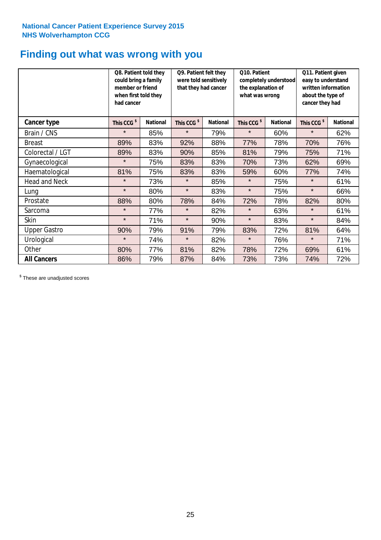### **Finding out what was wrong with you**

|                      | Q8. Patient told they<br>could bring a family<br>member or friend<br>when first told they<br>had cancer |                 | Q9. Patient felt they<br>were told sensitively<br>that they had cancer |                 | Q10. Patient<br>completely understood<br>the explanation of<br>what was wrong |                 | Q11. Patient given<br>easy to understand<br>written information<br>about the type of<br>cancer they had |                 |
|----------------------|---------------------------------------------------------------------------------------------------------|-----------------|------------------------------------------------------------------------|-----------------|-------------------------------------------------------------------------------|-----------------|---------------------------------------------------------------------------------------------------------|-----------------|
| Cancer type          | This CCG <sup>\$</sup>                                                                                  | <b>National</b> | This CCG <sup>\$</sup>                                                 | <b>National</b> | This CCG <sup>\$</sup>                                                        | <b>National</b> | This CCG <sup>\$</sup>                                                                                  | <b>National</b> |
| Brain / CNS          | $\star$                                                                                                 | 85%             | $\star$                                                                | 79%             | $\star$                                                                       | 60%             | $\star$                                                                                                 | 62%             |
| <b>Breast</b>        | 89%                                                                                                     | 83%             | 92%                                                                    | 88%             | 77%                                                                           | 78%             | 70%                                                                                                     | 76%             |
| Colorectal / LGT     | 89%                                                                                                     | 83%             | 90%                                                                    | 85%             | 81%                                                                           | 79%             | 75%                                                                                                     | 71%             |
| Gynaecological       | $\star$                                                                                                 | 75%             | 83%                                                                    | 83%             | 70%                                                                           | 73%             | 62%                                                                                                     | 69%             |
| Haematological       | 81%                                                                                                     | 75%             | 83%                                                                    | 83%             | 59%                                                                           | 60%             | 77%                                                                                                     | 74%             |
| <b>Head and Neck</b> | $\star$                                                                                                 | 73%             | $\star$                                                                | 85%             | $\star$                                                                       | 75%             | $\star$                                                                                                 | 61%             |
| Lung                 | $\star$                                                                                                 | 80%             | $\star$                                                                | 83%             | $\star$                                                                       | 75%             | $\star$                                                                                                 | 66%             |
| Prostate             | 88%                                                                                                     | 80%             | 78%                                                                    | 84%             | 72%                                                                           | 78%             | 82%                                                                                                     | 80%             |
| Sarcoma              | $\star$                                                                                                 | 77%             | $\star$                                                                | 82%             | $\star$                                                                       | 63%             | $\star$                                                                                                 | 61%             |
| Skin                 | $\star$                                                                                                 | 71%             | $\star$                                                                | 90%             | $\star$                                                                       | 83%             | $\star$                                                                                                 | 84%             |
| <b>Upper Gastro</b>  | 90%                                                                                                     | 79%             | 91%                                                                    | 79%             | 83%                                                                           | 72%             | 81%                                                                                                     | 64%             |
| Urological           | $\star$                                                                                                 | 74%             | $\star$                                                                | 82%             | $\star$                                                                       | 76%             | $\star$                                                                                                 | 71%             |
| Other                | 80%                                                                                                     | 77%             | 81%                                                                    | 82%             | 78%                                                                           | 72%             | 69%                                                                                                     | 61%             |
| <b>All Cancers</b>   | 86%                                                                                                     | 79%             | 87%                                                                    | 84%             | 73%                                                                           | 73%             | 74%                                                                                                     | 72%             |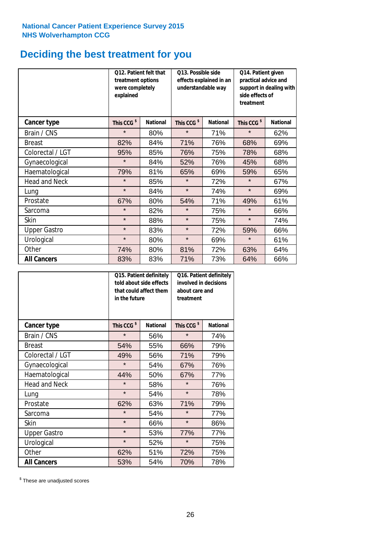### **Deciding the best treatment for you**

|                      | treatment options<br>were completely<br>explained | 012. Patient felt that | O13. Possible side<br>understandable way | effects explained in an | Q14. Patient given<br>practical advice and<br>support in dealing with<br>side effects of<br>treatment |                 |  |
|----------------------|---------------------------------------------------|------------------------|------------------------------------------|-------------------------|-------------------------------------------------------------------------------------------------------|-----------------|--|
| <b>Cancer type</b>   | This CCG <sup>\$</sup>                            | <b>National</b>        | This CCG <sup>\$</sup>                   | <b>National</b>         | This CCG <sup>\$</sup>                                                                                | <b>National</b> |  |
| Brain / CNS          | $\star$                                           | 80%                    | $\star$                                  | 71%                     | $\star$                                                                                               | 62%             |  |
| <b>Breast</b>        | 82%                                               | 84%                    | 71%                                      | 76%                     | 68%                                                                                                   | 69%             |  |
| Colorectal / LGT     | 95%                                               | 85%                    | 76%                                      | 75%                     | 78%                                                                                                   | 68%             |  |
| Gynaecological       | $\star$                                           | 84%                    | 52%                                      | 76%                     | 45%                                                                                                   | 68%             |  |
| Haematological       | 79%                                               | 81%                    | 65%                                      | 69%                     | 59%                                                                                                   | 65%             |  |
| <b>Head and Neck</b> | $\star$                                           | 85%                    | $\star$                                  | 72%                     | $\star$                                                                                               | 67%             |  |
| Lung                 | $\star$                                           | 84%                    | $\star$                                  | 74%                     | $\star$                                                                                               | 69%             |  |
| Prostate             | 67%                                               | 80%                    | 54%                                      | 71%                     | 49%                                                                                                   | 61%             |  |
| Sarcoma              | $\star$                                           | 82%                    | $\star$                                  | 75%                     | $\star$                                                                                               | 66%             |  |
| Skin                 | $\star$                                           | 88%                    | $\star$                                  | 75%                     | $\star$                                                                                               | 74%             |  |
| <b>Upper Gastro</b>  | $\star$                                           | 83%                    | $\star$                                  | 72%                     | 59%                                                                                                   | 66%             |  |
| Urological           | $\star$                                           | 80%                    | $\star$                                  | 69%                     | $\star$                                                                                               | 61%             |  |
| Other                | 74%                                               | 80%                    | 81%                                      | 72%                     | 63%                                                                                                   | 64%             |  |
| <b>All Cancers</b>   | 83%                                               | 83%                    | 71%                                      | 73%                     | 64%                                                                                                   | 66%             |  |

|                      | in the future          | Q15. Patient definitely<br>told about side effects<br>that could affect them | Q16. Patient definitely<br>involved in decisions<br>about care and<br>treatment |                 |  |
|----------------------|------------------------|------------------------------------------------------------------------------|---------------------------------------------------------------------------------|-----------------|--|
| <b>Cancer type</b>   | This CCG <sup>\$</sup> | <b>National</b>                                                              | This CCG <sup>\$</sup>                                                          | <b>National</b> |  |
| Brain / CNS          | $\star$                | 56%                                                                          | $\star$                                                                         | 74%             |  |
| <b>Breast</b>        | 54%                    | 55%                                                                          | 66%                                                                             | 79%             |  |
| Colorectal / LGT     | 49%                    | 56%                                                                          | 71%                                                                             | 79%             |  |
| Gynaecological       | $\star$                | 54%                                                                          | 67%                                                                             | 76%             |  |
| Haematological       | 50%<br>44%             |                                                                              | 67%                                                                             | 77%             |  |
| <b>Head and Neck</b> | $\star$                | 58%                                                                          | $\star$                                                                         | 76%             |  |
| Lung                 | $\star$                | 54%                                                                          | $\star$                                                                         | 78%             |  |
| Prostate             | 62%                    | 63%                                                                          | 71%                                                                             | 79%             |  |
| Sarcoma              | $\star$                | 54%                                                                          | $\star$                                                                         | 77%             |  |
| Skin                 | $\star$                | 66%                                                                          | $\star$                                                                         | 86%             |  |
| <b>Upper Gastro</b>  | $\star$                | 53%                                                                          | 77%                                                                             | 77%             |  |
| Urological           | $\star$                | 52%                                                                          | $\star$                                                                         | 75%             |  |
| Other                | 62%                    | 51%                                                                          | 72%                                                                             | 75%             |  |
| <b>All Cancers</b>   | 53%                    | 54%                                                                          | 70%                                                                             | 78%             |  |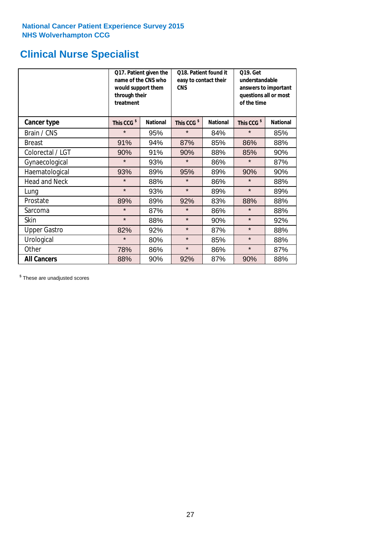## **Clinical Nurse Specialist**

|                      | would support them<br>through their<br>treatment | Q17. Patient given the<br>name of the CNS who | Q18. Patient found it<br>easy to contact their<br><b>CNS</b> |                 | <b>Q19. Get</b><br>understandable<br>answers to important<br>questions all or most<br>of the time |                 |  |
|----------------------|--------------------------------------------------|-----------------------------------------------|--------------------------------------------------------------|-----------------|---------------------------------------------------------------------------------------------------|-----------------|--|
| <b>Cancer type</b>   | This CCG <sup>\$</sup>                           | <b>National</b>                               | This CCG <sup>\$</sup>                                       | <b>National</b> | This CCG <sup>\$</sup>                                                                            | <b>National</b> |  |
| Brain / CNS          | $\star$                                          | 95%                                           | $\star$                                                      | 84%             | $\star$                                                                                           | 85%             |  |
| <b>Breast</b>        | 91%                                              | 94%                                           | 87%                                                          | 85%             | 86%                                                                                               | 88%             |  |
| Colorectal / LGT     | 90%                                              | 91%                                           | 90%                                                          | 88%             | 85%                                                                                               | 90%             |  |
| Gynaecological       | $\star$                                          | 93%                                           | $\star$                                                      | 86%             | $\star$                                                                                           | 87%             |  |
| Haematological       | 93%                                              | 89%                                           | 95%                                                          | 89%             | 90%                                                                                               | 90%             |  |
| <b>Head and Neck</b> | $\star$                                          | 88%                                           | $\star$                                                      | 86%             | $\star$                                                                                           | 88%             |  |
| Lung                 | $\star$                                          | 93%                                           | $\star$                                                      | 89%             | $\star$                                                                                           | 89%             |  |
| Prostate             | 89%                                              | 89%                                           | 92%                                                          | 83%             | 88%                                                                                               | 88%             |  |
| Sarcoma              | $\star$                                          | 87%                                           | $\star$                                                      | 86%             | $\star$                                                                                           | 88%             |  |
| Skin                 | $\star$                                          | 88%                                           | $\star$                                                      | 90%             | $\star$                                                                                           | 92%             |  |
| <b>Upper Gastro</b>  | 82%                                              | 92%                                           | $\star$                                                      | 87%             | $\star$                                                                                           | 88%             |  |
| Urological           | $\star$                                          | 80%                                           | $\star$                                                      | 85%             | $\star$                                                                                           | 88%             |  |
| Other                | 78%                                              | 86%                                           | $\star$                                                      | 86%             | $\star$                                                                                           | 87%             |  |
| <b>All Cancers</b>   | 88%                                              | 90%                                           | 92%                                                          | 87%             | 90%                                                                                               | 88%             |  |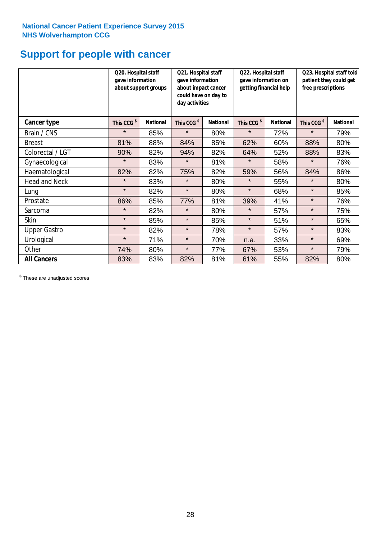### **Support for people with cancer**

|                      |                        | Q20. Hospital staff<br>gave information<br>about support groups |                        | Q21. Hospital staff<br>gave information<br>about impact cancer<br>could have on day to<br>day activities |                        | Q22. Hospital staff<br>gave information on<br>getting financial help |                        | Q23. Hospital staff told<br>patient they could get<br>free prescriptions |  |
|----------------------|------------------------|-----------------------------------------------------------------|------------------------|----------------------------------------------------------------------------------------------------------|------------------------|----------------------------------------------------------------------|------------------------|--------------------------------------------------------------------------|--|
| Cancer type          | This CCG <sup>\$</sup> | <b>National</b>                                                 | This CCG <sup>\$</sup> | <b>National</b>                                                                                          | This CCG <sup>\$</sup> | <b>National</b>                                                      | This CCG <sup>\$</sup> | <b>National</b>                                                          |  |
| Brain / CNS          | $\star$                | 85%                                                             | $\star$                | 80%                                                                                                      | $\star$                | 72%                                                                  | $\star$                | 79%                                                                      |  |
| <b>Breast</b>        | 81%                    | 88%                                                             | 84%                    | 85%                                                                                                      | 62%                    | 60%                                                                  | 88%                    | 80%                                                                      |  |
| Colorectal / LGT     | 90%                    | 82%                                                             | 94%                    | 82%                                                                                                      | 64%                    | 52%                                                                  | 88%                    | 83%                                                                      |  |
| Gynaecological       | $\star$                | 83%                                                             | $\star$                | 81%                                                                                                      | $\star$                | 58%                                                                  | $\star$                | 76%                                                                      |  |
| Haematological       | 82%                    | 82%                                                             | 75%                    | 82%                                                                                                      | 59%                    | 56%                                                                  | 84%                    | 86%                                                                      |  |
| <b>Head and Neck</b> | $\star$                | 83%                                                             | $\star$                | 80%                                                                                                      | $\star$                | 55%                                                                  | $\star$                | 80%                                                                      |  |
| Lung                 | $\star$                | 82%                                                             | $\star$                | 80%                                                                                                      | $\star$                | 68%                                                                  | $\star$                | 85%                                                                      |  |
| Prostate             | 86%                    | 85%                                                             | 77%                    | 81%                                                                                                      | 39%                    | 41%                                                                  | $\star$                | 76%                                                                      |  |
| Sarcoma              | $\star$                | 82%                                                             | $\star$                | 80%                                                                                                      | $\star$                | 57%                                                                  | $\star$                | 75%                                                                      |  |
| Skin                 | $\star$                | 85%                                                             | $\star$                | 85%                                                                                                      | $\star$                | 51%                                                                  | $\star$                | 65%                                                                      |  |
| <b>Upper Gastro</b>  | $\star$                | 82%                                                             | $\star$                | 78%                                                                                                      | $\star$                | 57%                                                                  | $\star$                | 83%                                                                      |  |
| Urological           | $\star$                | 71%                                                             | $\star$                | 70%                                                                                                      | n.a.                   | 33%                                                                  | $\star$                | 69%                                                                      |  |
| Other                | 74%                    | 80%                                                             | $\star$                | 77%                                                                                                      | 67%                    | 53%                                                                  | $\star$                | 79%                                                                      |  |
| <b>All Cancers</b>   | 83%                    | 83%                                                             | 82%                    | 81%                                                                                                      | 61%                    | 55%                                                                  | 82%                    | 80%                                                                      |  |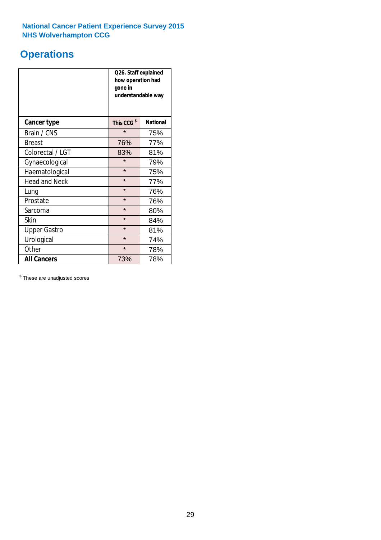## **Operations**

|                      | Q26. Staff explained<br>how operation had<br>gone in<br>understandable way |                 |  |  |
|----------------------|----------------------------------------------------------------------------|-----------------|--|--|
| <b>Cancer type</b>   | This CCG <sup>\$</sup>                                                     | <b>National</b> |  |  |
| Brain / CNS          | $\star$                                                                    | 75%             |  |  |
| <b>Breast</b>        | 76%                                                                        | 77%             |  |  |
| Colorectal / LGT     | 83%                                                                        | 81%             |  |  |
| Gynaecological       | $\star$                                                                    | 79%             |  |  |
| Haematological       | $\star$                                                                    | 75%             |  |  |
| <b>Head and Neck</b> | $\star$                                                                    | 77%             |  |  |
| Lung                 | $\star$                                                                    | 76%             |  |  |
| Prostate             | $\star$                                                                    | 76%             |  |  |
| Sarcoma              | $\star$                                                                    | 80%             |  |  |
| Skin                 | $\star$                                                                    | 84%             |  |  |
| <b>Upper Gastro</b>  | $\star$                                                                    | 81%             |  |  |
| Urological           | $\star$                                                                    | 74%             |  |  |
| Other                | $\star$<br>78%                                                             |                 |  |  |
| <b>All Cancers</b>   | 73%                                                                        | 78%             |  |  |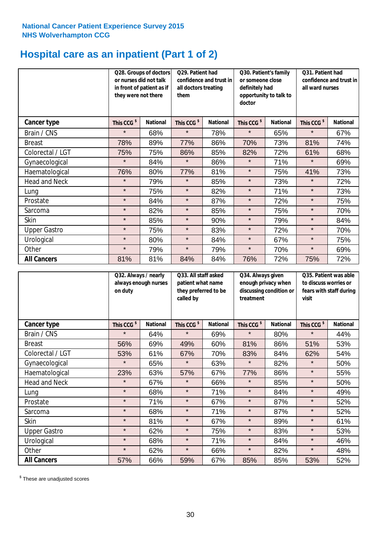### **Hospital care as an inpatient (Part 1 of 2)**

|                      | or nurses did not talk<br>they were not there | Q28. Groups of doctors<br>Q29. Patient had<br>confidence and trust in<br>in front of patient as if<br>all doctors treating<br>them |                        | Q30. Patient's family<br>or someone close<br>definitely had<br>opportunity to talk to<br>doctor |                        | Q31. Patient had<br>confidence and trust in I<br>all ward nurses |                        |                 |
|----------------------|-----------------------------------------------|------------------------------------------------------------------------------------------------------------------------------------|------------------------|-------------------------------------------------------------------------------------------------|------------------------|------------------------------------------------------------------|------------------------|-----------------|
| Cancer type          | This CCG <sup>\$</sup>                        | <b>National</b>                                                                                                                    | This CCG <sup>\$</sup> | <b>National</b>                                                                                 | This CCG <sup>\$</sup> | <b>National</b>                                                  | This CCG <sup>\$</sup> | <b>National</b> |
| Brain / CNS          | $\star$                                       | 68%                                                                                                                                | $\star$                | 78%                                                                                             | $\star$                | 65%                                                              | $\star$                | 67%             |
| <b>Breast</b>        | 78%                                           | 89%                                                                                                                                | 77%                    | 86%                                                                                             | 70%                    | 73%                                                              | 81%                    | 74%             |
| Colorectal / LGT     | 75%                                           | 75%                                                                                                                                | 86%                    | 85%                                                                                             | 82%                    | 72%                                                              | 61%                    | 68%             |
| Gynaecological       | $\star$                                       | 84%                                                                                                                                | $\star$                | 86%                                                                                             | $\star$                | 71%                                                              | $\star$                | 69%             |
| Haematological       | 76%                                           | 80%                                                                                                                                | 77%                    | 81%                                                                                             | $\star$                | 75%                                                              | 41%                    | 73%             |
| <b>Head and Neck</b> | $\star$                                       | 79%                                                                                                                                | $\star$                | 85%                                                                                             | $\star$                | 73%                                                              | $\star$                | 72%             |
| Lung                 | $\star$                                       | 75%                                                                                                                                | $\star$                | 82%                                                                                             | $\star$                | 71%                                                              | $\star$                | 73%             |
| Prostate             | $\star$                                       | 84%                                                                                                                                | $\star$                | 87%                                                                                             | $\star$                | 72%                                                              | $\star$                | 75%             |
| Sarcoma              | $\star$                                       | 82%                                                                                                                                | $\star$                | 85%                                                                                             | $\star$                | 75%                                                              | $\star$                | 70%             |
| Skin                 | $\star$                                       | 85%                                                                                                                                | $\star$                | 90%                                                                                             | $\star$                | 79%                                                              | $\star$                | 84%             |
| <b>Upper Gastro</b>  | $\star$                                       | 75%                                                                                                                                | $\star$                | 83%                                                                                             | $\star$                | 72%                                                              | $\star$                | 70%             |
| Urological           | $\star$                                       | 80%                                                                                                                                | $\star$                | 84%                                                                                             | $\star$                | 67%                                                              | $\star$                | 75%             |
| Other                | $\star$                                       | 79%                                                                                                                                | $\star$                | 79%                                                                                             | $\star$                | 70%                                                              | $\star$                | 69%             |
| <b>All Cancers</b>   | 81%                                           | 81%                                                                                                                                | 84%                    | 84%                                                                                             | 76%                    | 72%                                                              | 75%                    | 72%             |

|                      | on duty                | Q32. Always / nearly<br>Q33. All staff asked<br>always enough nurses<br>patient what name<br>they preferred to be<br>called by |                        |                 | Q34. Always given<br>treatment | enough privacy when<br>discussing condition or | Q35. Patient was able<br>to discuss worries or<br>fears with staff during<br>visit |                 |
|----------------------|------------------------|--------------------------------------------------------------------------------------------------------------------------------|------------------------|-----------------|--------------------------------|------------------------------------------------|------------------------------------------------------------------------------------|-----------------|
| <b>Cancer type</b>   | This CCG <sup>\$</sup> | <b>National</b>                                                                                                                | This CCG <sup>\$</sup> | <b>National</b> | This CCG <sup>\$</sup>         | <b>National</b>                                | This CCG <sup>\$</sup>                                                             | <b>National</b> |
| Brain / CNS          | $\star$                | 64%                                                                                                                            | $\star$                | 69%             | $\star$                        | 80%                                            | $\star$                                                                            | 44%             |
| <b>Breast</b>        | 56%                    | 69%                                                                                                                            | 49%                    | 60%             | 81%                            | 86%                                            | 51%                                                                                | 53%             |
| Colorectal / LGT     | 53%                    | 61%                                                                                                                            | 67%                    | 70%             | 83%                            | 84%                                            | 62%                                                                                | 54%             |
| Gynaecological       | $\star$                | 65%                                                                                                                            | $\star$                | 63%             | $\star$                        | 82%                                            | $\star$                                                                            | 50%             |
| Haematological       | 23%                    | 63%                                                                                                                            | 57%                    | 67%             | 77%                            | 86%                                            | $\star$                                                                            | 55%             |
| <b>Head and Neck</b> | $\star$                | 67%                                                                                                                            | $\star$                | 66%             | $\star$                        | 85%                                            | $\star$                                                                            | 50%             |
| Lung                 | $\star$                | 68%                                                                                                                            | $\star$                | 71%             | $\star$                        | 84%                                            | $\star$                                                                            | 49%             |
| Prostate             | $\star$                | 71%                                                                                                                            | $\star$                | 67%             | $\star$                        | 87%                                            | $\star$                                                                            | 52%             |
| Sarcoma              | $\star$                | 68%                                                                                                                            | $\star$                | 71%             | $\star$                        | 87%                                            | $\star$                                                                            | 52%             |
| Skin                 | $\star$                | 81%                                                                                                                            | $\star$                | 67%             | $\star$                        | 89%                                            | $\star$                                                                            | 61%             |
| <b>Upper Gastro</b>  | $\star$                | 62%                                                                                                                            | $\star$                | 75%             | $\star$                        | 83%                                            | $\star$                                                                            | 53%             |
| Urological           | $\star$                | 68%                                                                                                                            | $\star$                | 71%             | $\star$                        | 84%                                            | $\star$                                                                            | 46%             |
| Other                | $\star$                | 62%                                                                                                                            | $\star$                | 66%             | $\star$                        | 82%                                            | $\star$                                                                            | 48%             |
| <b>All Cancers</b>   | 57%                    | 66%                                                                                                                            | 59%                    | 67%             | 85%                            | 85%                                            | 53%                                                                                | 52%             |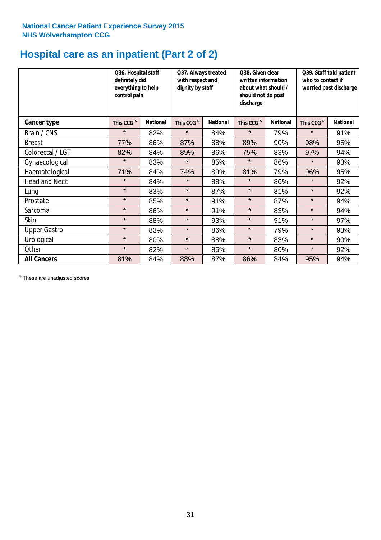### **Hospital care as an inpatient (Part 2 of 2)**

|                      | Q36. Hospital staff<br>definitely did<br>everything to help<br>control pain |                 | Q37. Always treated<br>with respect and<br>dignity by staff |                 | Q38. Given clear<br>written information<br>about what should /<br>should not do post<br>discharge |                 | Q39. Staff told patient<br>who to contact if<br>worried post discharge |                 |
|----------------------|-----------------------------------------------------------------------------|-----------------|-------------------------------------------------------------|-----------------|---------------------------------------------------------------------------------------------------|-----------------|------------------------------------------------------------------------|-----------------|
| Cancer type          | This CCG <sup>\$</sup>                                                      | <b>National</b> | This CCG <sup>\$</sup>                                      | <b>National</b> | This CCG <sup>\$</sup>                                                                            | <b>National</b> | This CCG <sup>\$</sup>                                                 | <b>National</b> |
| Brain / CNS          | $\star$                                                                     | 82%             | $\star$                                                     | 84%             | $\star$                                                                                           | 79%             | $\star$                                                                | 91%             |
| <b>Breast</b>        | 77%                                                                         | 86%             | 87%                                                         | 88%             | 89%                                                                                               | 90%             | 98%                                                                    | 95%             |
| Colorectal / LGT     | 82%                                                                         | 84%             | 89%                                                         | 86%             | 75%                                                                                               | 83%             | 97%                                                                    | 94%             |
| Gynaecological       | $\star$                                                                     | 83%             | $\star$                                                     | 85%             | $\star$                                                                                           | 86%             | $\star$                                                                | 93%             |
| Haematological       | 71%                                                                         | 84%             | 74%                                                         | 89%             | 81%                                                                                               | 79%             | 96%                                                                    | 95%             |
| <b>Head and Neck</b> | $\star$                                                                     | 84%             | $\star$                                                     | 88%             | $\star$                                                                                           | 86%             | $\star$                                                                | 92%             |
| Lung                 | $\star$                                                                     | 83%             | $\star$                                                     | 87%             | $\star$                                                                                           | 81%             | $\star$                                                                | 92%             |
| Prostate             | $\star$                                                                     | 85%             | $\star$                                                     | 91%             | $\star$                                                                                           | 87%             | $\star$                                                                | 94%             |
| Sarcoma              | $\star$                                                                     | 86%             | $\star$                                                     | 91%             | $\star$                                                                                           | 83%             | $\star$                                                                | 94%             |
| Skin                 | $\star$                                                                     | 88%             | $\star$                                                     | 93%             | $\star$                                                                                           | 91%             | $\star$                                                                | 97%             |
| <b>Upper Gastro</b>  | $\star$                                                                     | 83%             | $\star$                                                     | 86%             | $\star$                                                                                           | 79%             | $\star$                                                                | 93%             |
| Urological           | $\star$                                                                     | 80%             | $\star$                                                     | 88%             | $\star$                                                                                           | 83%             | $\star$                                                                | 90%             |
| Other                | $\star$                                                                     | 82%             | $\star$                                                     | 85%             | $\star$                                                                                           | 80%             | $\star$                                                                | 92%             |
| <b>All Cancers</b>   | 81%                                                                         | 84%             | 88%                                                         | 87%             | 86%                                                                                               | 84%             | 95%                                                                    | 94%             |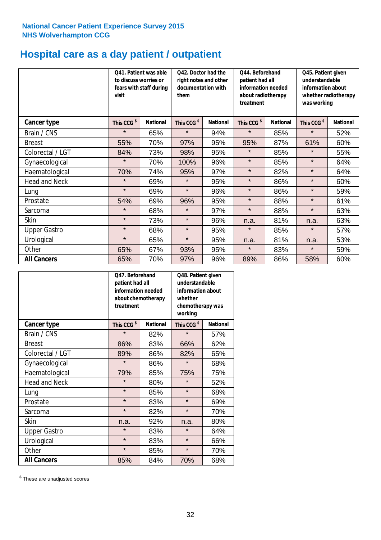## **Hospital care as a day patient / outpatient**

|                      | to discuss worries or<br>visit | Q41. Patient was able<br>fears with staff during | Q42. Doctor had the<br>right notes and other<br>documentation with<br>them |                 | Q44. Beforehand<br>patient had all<br>information needed<br>about radiotherapy<br>treatment |                 | Q45. Patient given<br>understandable<br>information about<br>whether radiotherapy<br>was working |                 |
|----------------------|--------------------------------|--------------------------------------------------|----------------------------------------------------------------------------|-----------------|---------------------------------------------------------------------------------------------|-----------------|--------------------------------------------------------------------------------------------------|-----------------|
| <b>Cancer type</b>   | This CCG <sup>\$</sup>         | <b>National</b>                                  | This CCG <sup>\$</sup>                                                     | <b>National</b> | This CCG <sup>\$</sup>                                                                      | <b>National</b> | This CCG <sup>\$</sup>                                                                           | <b>National</b> |
| Brain / CNS          | $\star$                        | 65%                                              | $\star$                                                                    | 94%             | $\star$                                                                                     | 85%             | $\star$                                                                                          | 52%             |
| <b>Breast</b>        | 55%                            | 70%                                              | 97%                                                                        | 95%             | 95%                                                                                         | 87%             | 61%                                                                                              | 60%             |
| Colorectal / LGT     | 84%                            | 73%                                              | 98%                                                                        | 95%             | $\star$                                                                                     | 85%             | $\star$                                                                                          | 55%             |
| Gynaecological       | $\star$                        | 70%                                              | 100%                                                                       | 96%             | $\star$                                                                                     | 85%             | $\star$                                                                                          | 64%             |
| Haematological       | 70%                            | 74%                                              | 95%                                                                        | 97%             | $\star$                                                                                     | 82%             | $\star$                                                                                          | 64%             |
| <b>Head and Neck</b> | $\star$                        | 69%                                              | $\star$                                                                    | 95%             | $\star$                                                                                     | 86%             | $\star$                                                                                          | 60%             |
| Lung                 | $\star$                        | 69%                                              | $\star$                                                                    | 96%             | $\star$                                                                                     | 86%             | $\star$                                                                                          | 59%             |
| Prostate             | 54%                            | 69%                                              | 96%                                                                        | 95%             | $\star$                                                                                     | 88%             | $\star$                                                                                          | 61%             |
| Sarcoma              | $\star$                        | 68%                                              | $\star$                                                                    | 97%             | $\star$                                                                                     | 88%             | $\star$                                                                                          | 63%             |
| Skin                 | $\star$                        | 73%                                              | $\star$                                                                    | 96%             | n.a.                                                                                        | 81%             | n.a.                                                                                             | 63%             |
| <b>Upper Gastro</b>  | $\star$                        | 68%                                              | $\star$                                                                    | 95%             | $\star$                                                                                     | 85%             | $\star$                                                                                          | 57%             |
| Urological           | $\star$                        | 65%                                              | $\star$                                                                    | 95%             | n.a.                                                                                        | 81%             | n.a.                                                                                             | 53%             |
| Other                | 65%                            | 67%                                              | 93%                                                                        | 95%             | $\star$                                                                                     | 83%             | $\star$                                                                                          | 59%             |
| <b>All Cancers</b>   | 65%                            | 70%                                              | 97%                                                                        | 96%             | 89%                                                                                         | 86%             | 58%                                                                                              | 60%             |

|                      | Q47. Beforehand<br>patient had all<br>information needed<br>about chemotherapy<br>treatment |                 | Q48. Patient given<br>understandable<br>information about<br>whether<br>chemotherapy was<br>working |                 |  |
|----------------------|---------------------------------------------------------------------------------------------|-----------------|-----------------------------------------------------------------------------------------------------|-----------------|--|
| <b>Cancer type</b>   | This CCG <sup>\$</sup>                                                                      | <b>National</b> | This CCG <sup>\$</sup>                                                                              | <b>National</b> |  |
| Brain / CNS          | $\star$                                                                                     | 82%             | $\star$                                                                                             | 57%             |  |
| <b>Breast</b>        | 86%                                                                                         | 83%             | 66%                                                                                                 | 62%             |  |
| Colorectal / LGT     | 89%                                                                                         | 86%             | 82%                                                                                                 | 65%             |  |
| Gynaecological       | $\star$                                                                                     | 86%             | $\star$                                                                                             | 68%             |  |
| Haematological       | 79%                                                                                         | 85%             |                                                                                                     | 75%             |  |
| <b>Head and Neck</b> | $\star$                                                                                     | 80%             | $\star$                                                                                             | 52%             |  |
| Lung                 | $\star$                                                                                     | 85%             | $\star$                                                                                             | 68%             |  |
| Prostate             | $\star$                                                                                     | 83%             | $\star$                                                                                             | 69%             |  |
| Sarcoma              | $\star$                                                                                     | 82%             | $\star$                                                                                             | 70%             |  |
| <b>Skin</b>          | n.a.                                                                                        | 92%             | n.a.                                                                                                | 80%             |  |
| <b>Upper Gastro</b>  | $\star$                                                                                     | 83%             | $\star$                                                                                             | 64%             |  |
| Urological           | $\star$                                                                                     | 83%             |                                                                                                     | 66%             |  |
| Other                | $\star$                                                                                     | 85%             | $\star$                                                                                             | 70%             |  |
| <b>All Cancers</b>   | 85%                                                                                         | 84%             | 70%                                                                                                 | 68%             |  |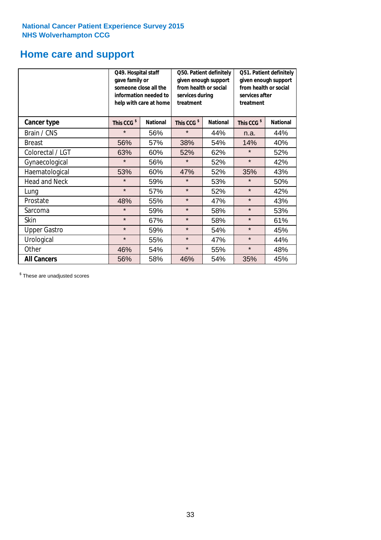### **Home care and support**

|                      | Q49. Hospital staff<br>gave family or | someone close all the<br>information needed to<br>help with care at home | Q50. Patient definitely<br>given enough support<br>from health or social<br>services during<br>treatment |                        | Q51. Patient definitely<br>given enough support<br>from health or social<br>services after<br>treatment |     |
|----------------------|---------------------------------------|--------------------------------------------------------------------------|----------------------------------------------------------------------------------------------------------|------------------------|---------------------------------------------------------------------------------------------------------|-----|
| <b>Cancer type</b>   | This CCG <sup>\$</sup>                | This CCG <sup>\$</sup><br><b>National</b><br><b>National</b>             |                                                                                                          | This CCG <sup>\$</sup> | <b>National</b>                                                                                         |     |
| Brain / CNS          | $\star$                               | 56%                                                                      | $\star$                                                                                                  | 44%                    | n.a.                                                                                                    | 44% |
| <b>Breast</b>        | 56%                                   | 57%                                                                      | 38%                                                                                                      | 54%                    | 14%                                                                                                     | 40% |
| Colorectal / LGT     | 63%                                   | 60%                                                                      | 52%                                                                                                      | 62%                    | $\star$                                                                                                 | 52% |
| Gynaecological       | $\star$                               | 56%                                                                      | $\star$                                                                                                  | 52%                    | $\star$                                                                                                 | 42% |
| Haematological       | 53%                                   | 60%                                                                      | 47%                                                                                                      | 52%                    | 35%                                                                                                     | 43% |
| <b>Head and Neck</b> | $\star$                               | 59%                                                                      | $\star$                                                                                                  | 53%                    | $\star$                                                                                                 | 50% |
| Lung                 | $\star$                               | 57%                                                                      | $\star$                                                                                                  | 52%                    | $\star$                                                                                                 | 42% |
| Prostate             | 48%                                   | 55%                                                                      | $\star$                                                                                                  | 47%                    | $\star$                                                                                                 | 43% |
| Sarcoma              | $\star$                               | 59%                                                                      | $\star$                                                                                                  | 58%                    | $\star$                                                                                                 | 53% |
| Skin                 | $\star$                               | 67%                                                                      | $\star$                                                                                                  | 58%                    | $\star$                                                                                                 | 61% |
| <b>Upper Gastro</b>  | $\star$                               | 59%                                                                      | $\star$                                                                                                  | 54%                    | $\star$                                                                                                 | 45% |
| Urological           | $\star$                               | 55%                                                                      | $\star$                                                                                                  | 47%                    | $\star$                                                                                                 | 44% |
| Other                | 46%                                   | 54%                                                                      | $\star$                                                                                                  | 55%                    | $\star$                                                                                                 | 48% |
| <b>All Cancers</b>   | 56%                                   | 58%                                                                      | 46%                                                                                                      | 54%                    | 35%                                                                                                     | 45% |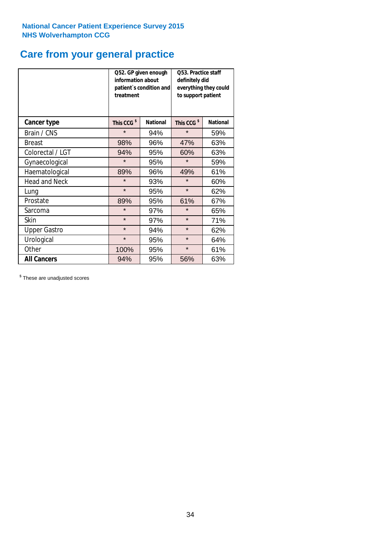### **Care from your general practice**

|                      | information about<br>treatment | Q52. GP given enough<br>patient's condition and | O53. Practice staff<br>definitely did<br>everything they could<br>to support patient |                 |  |
|----------------------|--------------------------------|-------------------------------------------------|--------------------------------------------------------------------------------------|-----------------|--|
| <b>Cancer type</b>   | This CCG <sup>\$</sup>         | <b>National</b>                                 | This CCG <sup>\$</sup>                                                               | <b>National</b> |  |
| Brain / CNS          | $\star$                        | 94%                                             | $\star$                                                                              | 59%             |  |
| <b>Breast</b>        | 98%                            | 96%                                             | 47%                                                                                  | 63%             |  |
| Colorectal / LGT     | 94%                            | 95%                                             | 60%                                                                                  | 63%             |  |
| Gynaecological       | $\star$                        | 95%                                             | $\star$                                                                              | 59%             |  |
| Haematological       | 89%                            | 96%                                             | 49%                                                                                  | 61%             |  |
| <b>Head and Neck</b> | $\star$                        | 93%                                             | $\star$                                                                              | 60%             |  |
| Lung                 | $\star$                        | 95%                                             | $\star$                                                                              | 62%             |  |
| Prostate             | 89%                            | 95%                                             | 61%                                                                                  | 67%             |  |
| Sarcoma              | $\star$                        | 97%                                             | $\star$                                                                              | 65%             |  |
| Skin                 | $\star$                        | 97%                                             | $\star$                                                                              | 71%             |  |
| <b>Upper Gastro</b>  | $\star$                        | 94%                                             | $\star$                                                                              | 62%             |  |
| Urological           | $\star$                        | 95%                                             | $\star$                                                                              | 64%             |  |
| Other                | 100%                           | 95%                                             | $\star$                                                                              | 61%             |  |
| <b>All Cancers</b>   | 94%                            | 95%                                             | 56%                                                                                  | 63%             |  |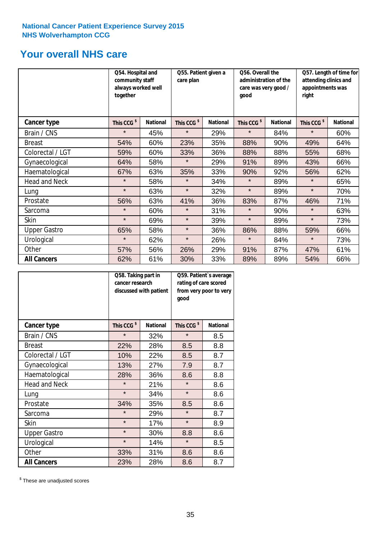### **Your overall NHS care**

|                      | Q54. Hospital and<br>community staff<br>always worked well<br>together |                 | Q55. Patient given a<br>care plan |                 | Q56. Overall the<br>administration of the<br>care was very good /<br>qood |                 | Q57. Length of time for<br>attending clinics and<br>appointments was<br>right |                 |
|----------------------|------------------------------------------------------------------------|-----------------|-----------------------------------|-----------------|---------------------------------------------------------------------------|-----------------|-------------------------------------------------------------------------------|-----------------|
| Cancer type          | This CCG <sup>\$</sup>                                                 | <b>National</b> | This CCG <sup>\$</sup>            | <b>National</b> | This CCG <sup>\$</sup>                                                    | <b>National</b> | This CCG <sup>\$</sup>                                                        | <b>National</b> |
| Brain / CNS          | $\star$                                                                | 45%             | $\star$                           | 29%             | $\star$                                                                   | 84%             | $\star$                                                                       | 60%             |
| <b>Breast</b>        | 54%                                                                    | 60%             | 23%                               | 35%             | 88%                                                                       | 90%             | 49%                                                                           | 64%             |
| Colorectal / LGT     | 59%                                                                    | 60%             | 33%                               | 36%             | 88%                                                                       | 88%             | 55%                                                                           | 68%             |
| Gynaecological       | 64%                                                                    | 58%             | $\star$                           | 29%             | 91%                                                                       | 89%             | 43%                                                                           | 66%             |
| Haematological       | 67%                                                                    | 63%             | 35%                               | 33%             | 90%                                                                       | 92%             | 56%                                                                           | 62%             |
| <b>Head and Neck</b> | $\star$                                                                | 58%             | $\star$                           | 34%             | $\star$                                                                   | 89%             | $\star$                                                                       | 65%             |
| Lung                 | $\star$                                                                | 63%             | $\star$                           | 32%             | $\star$                                                                   | 89%             | $\star$                                                                       | 70%             |
| Prostate             | 56%                                                                    | 63%             | 41%                               | 36%             | 83%                                                                       | 87%             | 46%                                                                           | 71%             |
| Sarcoma              | $\star$                                                                | 60%             | $\star$                           | 31%             | $\star$                                                                   | 90%             | $\star$                                                                       | 63%             |
| Skin                 | $\star$                                                                | 69%             | $\star$                           | 39%             | $\star$                                                                   | 89%             | $\star$                                                                       | 73%             |
| <b>Upper Gastro</b>  | 65%                                                                    | 58%             | $\star$                           | 36%             | 86%                                                                       | 88%             | 59%                                                                           | 66%             |
| Urological           | $\star$                                                                | 62%             | $\star$                           | 26%             | $\star$                                                                   | 84%             | $\star$                                                                       | 73%             |
| Other                | 57%                                                                    | 56%             | 26%                               | 29%             | 91%                                                                       | 87%             | 47%                                                                           | 61%             |
| <b>All Cancers</b>   | 62%                                                                    | 61%             | 30%                               | 33%             | 89%                                                                       | 89%             | 54%                                                                           | 66%             |

|                      | Q58. Taking part in<br>cancer research | discussed with patient | Q59. Patient's average<br>rating of care scored<br>from very poor to very<br>good |                 |  |
|----------------------|----------------------------------------|------------------------|-----------------------------------------------------------------------------------|-----------------|--|
| <b>Cancer type</b>   | This CCG <sup>\$</sup>                 | <b>National</b>        | This CCG <sup>\$</sup>                                                            | <b>National</b> |  |
| Brain / CNS          | $\star$                                | 32%                    | $\star$                                                                           | 8.5             |  |
| <b>Breast</b>        | 22%                                    | 28%                    | 8.5                                                                               | 8.8             |  |
| Colorectal / LGT     | 10%                                    | 22%                    | 8.5                                                                               | 8.7             |  |
| Gynaecological       | 13%                                    | 27%                    | 7.9                                                                               | 8.7             |  |
| Haematological       | 28%                                    | 36%                    | 8.6                                                                               | 8.8             |  |
| <b>Head and Neck</b> | $\star$                                | 21%                    | $\star$                                                                           | 8.6             |  |
| Lung                 | $\star$                                | 34%                    | $\star$                                                                           | 8.6             |  |
| Prostate             | 34%                                    | 35%                    | 8.5                                                                               | 8.6             |  |
| Sarcoma              | $\star$                                | 29%                    | $\star$                                                                           | 8.7             |  |
| Skin                 | $\star$                                | 17%                    | $\star$                                                                           | 8.9             |  |
| <b>Upper Gastro</b>  | $\star$                                | 30%                    | 8.8                                                                               | 8.6             |  |
| Urological           | $\star$                                | 14%                    | $\star$                                                                           | 8.5             |  |
| Other                | 33%                                    | 31%                    | 8.6                                                                               | 8.6             |  |
| <b>All Cancers</b>   | 23%                                    | 28%                    | 8.6                                                                               | 8.7             |  |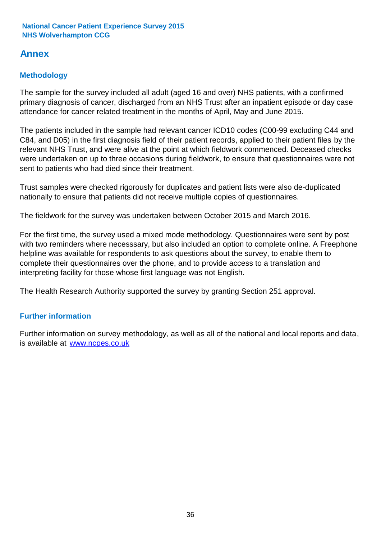### **Annex**

### **Methodology**

The sample for the survey included all adult (aged 16 and over) NHS patients, with a confirmed primary diagnosis of cancer, discharged from an NHS Trust after an inpatient episode or day case attendance for cancer related treatment in the months of April, May and June 2015.

The patients included in the sample had relevant cancer ICD10 codes (C00-99 excluding C44 and C84, and D05) in the first diagnosis field of their patient records, applied to their patient files by the relevant NHS Trust, and were alive at the point at which fieldwork commenced. Deceased checks were undertaken on up to three occasions during fieldwork, to ensure that questionnaires were not sent to patients who had died since their treatment.

Trust samples were checked rigorously for duplicates and patient lists were also de-duplicated nationally to ensure that patients did not receive multiple copies of questionnaires.

The fieldwork for the survey was undertaken between October 2015 and March 2016.

For the first time, the survey used a mixed mode methodology. Questionnaires were sent by post with two reminders where necesssary, but also included an option to complete online. A Freephone helpline was available for respondents to ask questions about the survey, to enable them to complete their questionnaires over the phone, and to provide access to a translation and interpreting facility for those whose first language was not English.

The Health Research Authority supported the survey by granting Section 251 approval.

#### **Further information**

Further information on survey methodology, as well as all of the national and local reports and data, is available at www.ncpes.co.uk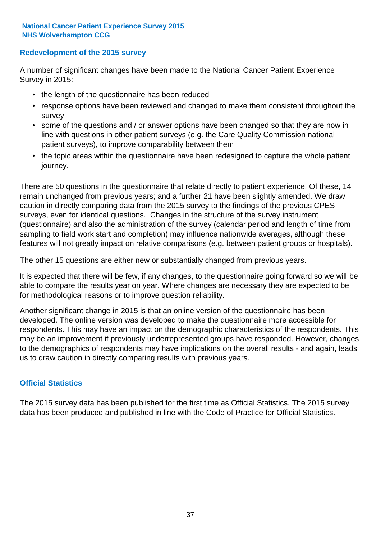#### **Redevelopment of the 2015 survey**

A number of significant changes have been made to the National Cancer Patient Experience Survey in 2015:

- the length of the questionnaire has been reduced
- response options have been reviewed and changed to make them consistent throughout the survey
- some of the questions and / or answer options have been changed so that they are now in line with questions in other patient surveys (e.g. the Care Quality Commission national patient surveys), to improve comparability between them
- the topic areas within the questionnaire have been redesigned to capture the whole patient journey.

There are 50 questions in the questionnaire that relate directly to patient experience. Of these, 14 remain unchanged from previous years; and a further 21 have been slightly amended. We draw caution in directly comparing data from the 2015 survey to the findings of the previous CPES surveys, even for identical questions. Changes in the structure of the survey instrument (questionnaire) and also the administration of the survey (calendar period and length of time from sampling to field work start and completion) may influence nationwide averages, although these features will not greatly impact on relative comparisons (e.g. between patient groups or hospitals).

The other 15 questions are either new or substantially changed from previous years.

It is expected that there will be few, if any changes, to the questionnaire going forward so we will be able to compare the results year on year. Where changes are necessary they are expected to be for methodological reasons or to improve question reliability.

Another significant change in 2015 is that an online version of the questionnaire has been developed. The online version was developed to make the questionnaire more accessible for respondents. This may have an impact on the demographic characteristics of the respondents. This may be an improvement if previously underrepresented groups have responded. However, changes to the demographics of respondents may have implications on the overall results - and again, leads us to draw caution in directly comparing results with previous years.

#### **Official Statistics**

The 2015 survey data has been published for the first time as Official Statistics. The 2015 survey data has been produced and published in line with the Code of Practice for Official Statistics.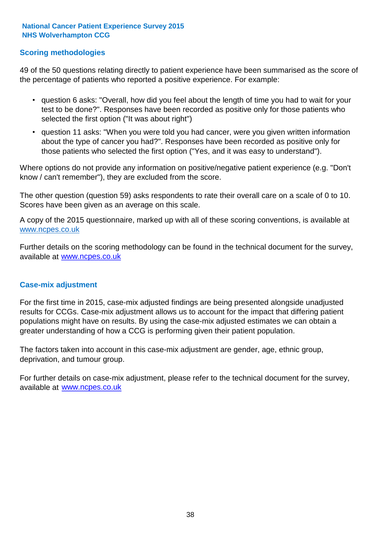#### **Scoring methodologies**

49 of the 50 questions relating directly to patient experience have been summarised as the score of the percentage of patients who reported a positive experience. For example:

- question 6 asks: "Overall, how did you feel about the length of time you had to wait for your test to be done?". Responses have been recorded as positive only for those patients who selected the first option ("It was about right")
- question 11 asks: "When you were told you had cancer, were you given written information about the type of cancer you had?". Responses have been recorded as positive only for those patients who selected the first option ("Yes, and it was easy to understand").

Where options do not provide any information on positive/negative patient experience (e.g. "Don't know / can't remember"), they are excluded from the score.

The other question (question 59) asks respondents to rate their overall care on a scale of 0 to 10. Scores have been given as an average on this scale.

A copy of the 2015 questionnaire, marked up with all of these scoring conventions, is available at www.ncpes.co.uk

Further details on the scoring methodology can be found in the technical document for the survey, available at <u>www.ncpes.co.uk</u>

#### **Case-mix adjustment**

For the first time in 2015, case-mix adjusted findings are being presented alongside unadjusted results for CCGs. Case-mix adjustment allows us to account for the impact that differing patient populations might have on results. By using the case-mix adjusted estimates we can obtain a greater understanding of how a CCG is performing given their patient population.

The factors taken into account in this case-mix adjustment are gender, age, ethnic group, deprivation, and tumour group.

For further details on case-mix adjustment, please refer to the technical document for the survey, available at www.ncpes.co.uk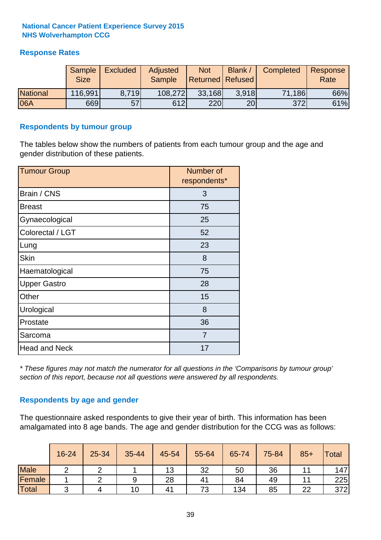#### **Response Rates**

|                 | Sample<br><b>Size</b> | <b>Excluded</b> | Adjusted<br><b>Sample</b> | <b>Not</b><br>Returned   Refused | Blank | Completed | Response<br>Rate |
|-----------------|-----------------------|-----------------|---------------------------|----------------------------------|-------|-----------|------------------|
| <b>National</b> | 116,991               | 8.719           | 108,272                   | 33,168                           | 3.918 | 71,186    | 66%              |
| 06A             | 669                   | 57              | 612                       | 220                              | 20    | 372       | 61%              |

#### **Respondents by tumour group**

The tables below show the numbers of patients from each tumour group and the age and gender distribution of these patients.

| <b>Tumour Group</b>  | Number of<br>respondents* |
|----------------------|---------------------------|
| Brain / CNS          | 3                         |
| <b>Breast</b>        | 75                        |
| Gynaecological       | 25                        |
| Colorectal / LGT     | 52                        |
| Lung                 | 23                        |
| <b>Skin</b>          | 8                         |
| Haematological       | 75                        |
| <b>Upper Gastro</b>  | 28                        |
| Other                | 15                        |
| Urological           | 8                         |
| Prostate             | 36                        |
| Sarcoma              | 7                         |
| <b>Head and Neck</b> | 17                        |

*\* These figures may not match the numerator for all questions in the 'Comparisons by tumour group' section of this report, because not all questions were answered by all respondents.*

#### **Respondents by age and gender**

The questionnaire asked respondents to give their year of birth. This information has been amalgamated into 8 age bands. The age and gender distribution for the CCG was as follows:

|             | 16-24 | 25-34 | 35-44 | 45-54 | 55-64 | 65-74 | 75-84 | $85+$ | <b>Total</b> |
|-------------|-------|-------|-------|-------|-------|-------|-------|-------|--------------|
| <b>Male</b> |       |       |       | 13    | 32    | 50    | 36    |       | 147          |
| Female      |       |       | 9     | 28    | 41    | 84    | 49    |       | 225          |
| Total       | ⌒     |       | 10    | 41    | 73    | 134   | 85    | 22    | 372          |